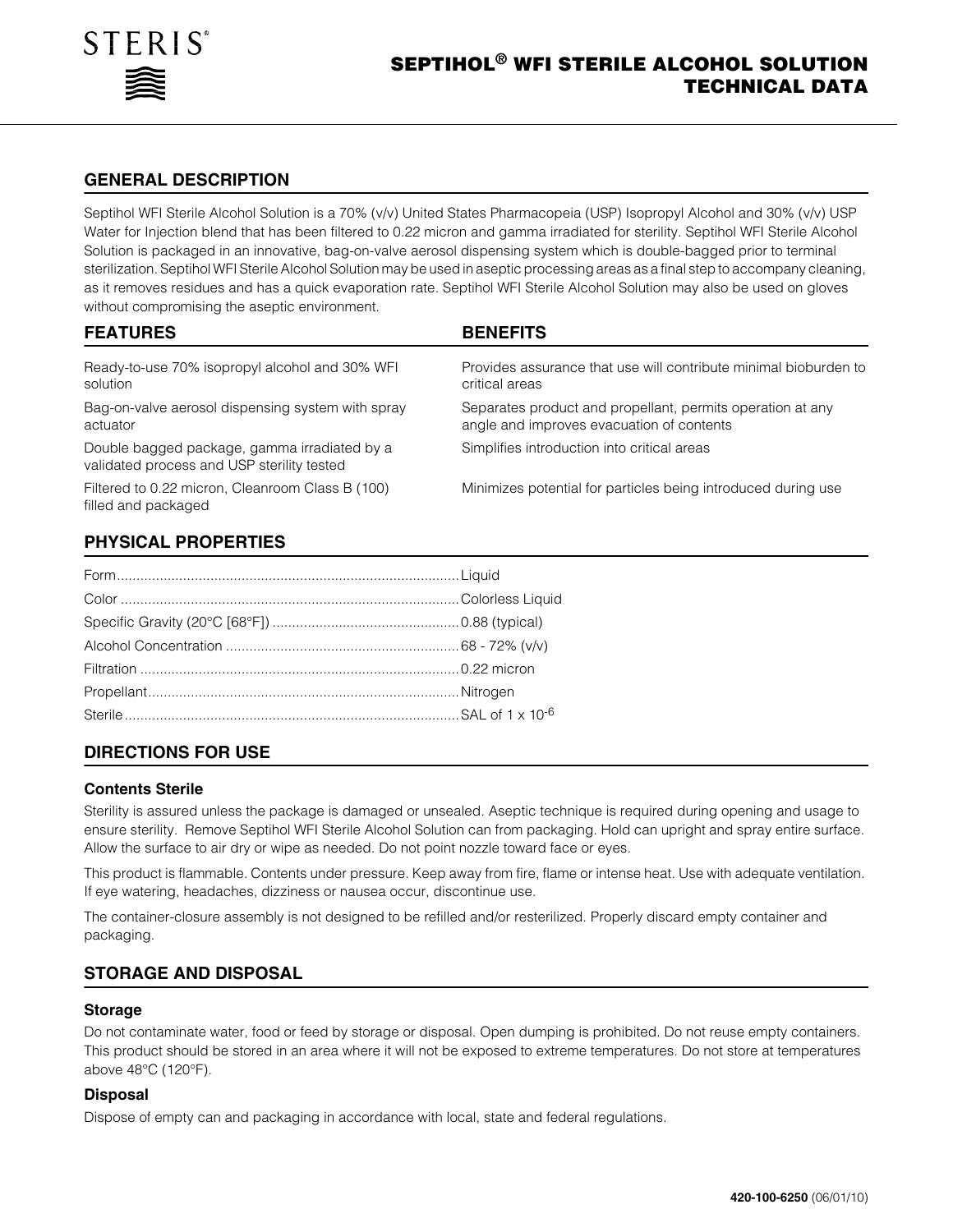

# **GENERAL DESCRIPTION**

Septihol WFI Sterile Alcohol Solution is a 70% (v/v) United States Pharmacopeia (USP) Isopropyl Alcohol and 30% (v/v) USP Water for Injection blend that has been filtered to 0.22 micron and gamma irradiated for sterility. Septihol WFI Sterile Alcohol Solution is packaged in an innovative, bag-on-valve aerosol dispensing system which is double-bagged prior to terminal sterilization. Septihol WFI Sterile Alcohol Solution may be used in aseptic processing areas as a final step to accompany cleaning, as it removes residues and has a quick evaporation rate. Septihol WFI Sterile Alcohol Solution may also be used on gloves without compromising the aseptic environment.

| <b>FEATURES</b>                                                                            | <b>BENEFITS</b>                                                                                         |
|--------------------------------------------------------------------------------------------|---------------------------------------------------------------------------------------------------------|
| Ready-to-use 70% isopropyl alcohol and 30% WFI<br>solution                                 | Provides assurance that use will contribute minimal bioburden to<br>critical areas                      |
| Bag-on-valve aerosol dispensing system with spray<br>actuator                              | Separates product and propellant, permits operation at any<br>angle and improves evacuation of contents |
| Double bagged package, gamma irradiated by a<br>validated process and USP sterility tested | Simplifies introduction into critical areas                                                             |
| Filtered to 0.22 micron, Cleanroom Class B (100)<br>filled and packaged                    | Minimizes potential for particles being introduced during use                                           |
| <b>PHYSICAL PROPERTIES</b>                                                                 |                                                                                                         |

| <u> 1999 - Andrea Santa Andrea Andrea Andrea Andrea Andrea Andrea Andrea Andrea Andrea Andrea Andrea Andrea Andr</u> |  |
|----------------------------------------------------------------------------------------------------------------------|--|
|                                                                                                                      |  |
|                                                                                                                      |  |
|                                                                                                                      |  |
|                                                                                                                      |  |
|                                                                                                                      |  |
|                                                                                                                      |  |
|                                                                                                                      |  |

# **DIRECTIONS FOR USE**

#### **Contents Sterile**

Sterility is assured unless the package is damaged or unsealed. Aseptic technique is required during opening and usage to ensure sterility. Remove Septihol WFI Sterile Alcohol Solution can from packaging. Hold can upright and spray entire surface. Allow the surface to air dry or wipe as needed. Do not point nozzle toward face or eyes.

This product is flammable. Contents under pressure. Keep away from fire, flame or intense heat. Use with adequate ventilation. If eye watering, headaches, dizziness or nausea occur, discontinue use.

The container-closure assembly is not designed to be refilled and/or resterilized. Properly discard empty container and packaging.

### **STORAGE AND DISPOSAL**

#### **Storage**

Do not contaminate water, food or feed by storage or disposal. Open dumping is prohibited. Do not reuse empty containers. This product should be stored in an area where it will not be exposed to extreme temperatures. Do not store at temperatures above 48°C (120°F).

### **Disposal**

Dispose of empty can and packaging in accordance with local, state and federal regulations.